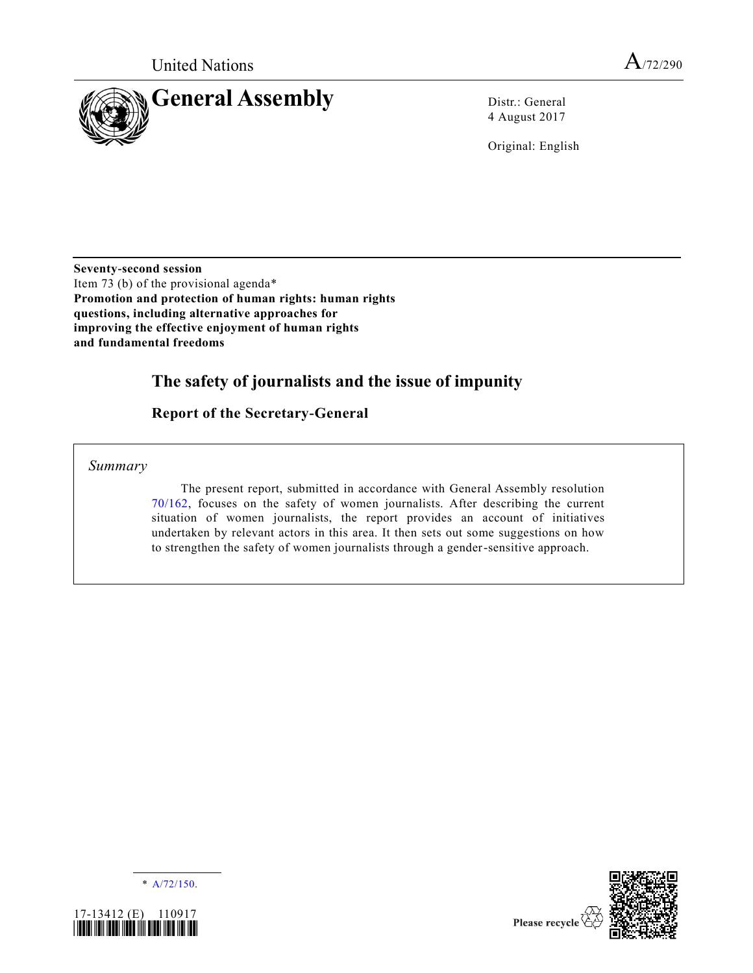

4 August 2017

Original: English

**Seventy-second session** Item 73 (b) of the provisional agenda\* **Promotion and protection of human rights: human rights questions, including alternative approaches for improving the effective enjoyment of human rights and fundamental freedoms**

# **The safety of journalists and the issue of impunity**

## **Report of the Secretary-General**

*Summary*

The present report, submitted in accordance with General Assembly resolution [70/162,](https://undocs.org/A/RES/70/162) focuses on the safety of women journalists. After describing the current situation of women journalists, the report provides an account of initiatives undertaken by relevant actors in this area. It then sets out some suggestions on how to strengthen the safety of women journalists through a gender-sensitive approach.





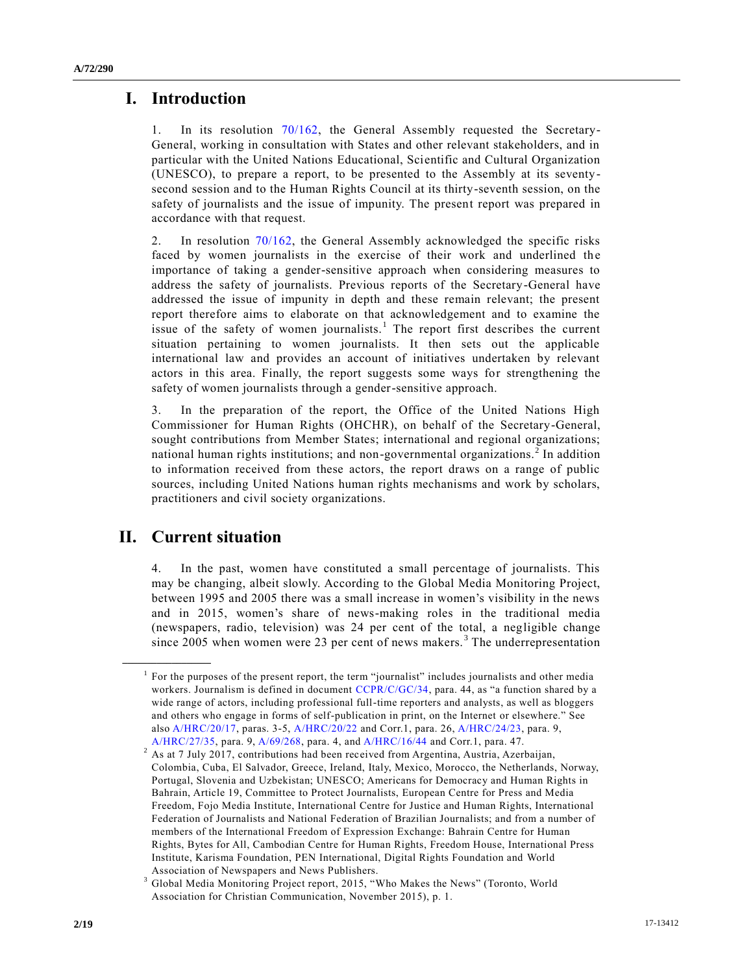## **I. Introduction**

1. In its resolution [70/162,](https://undocs.org/A/RES/70/162) the General Assembly requested the Secretary-General, working in consultation with States and other relevant stakeholders, and in particular with the United Nations Educational, Scientific and Cultural Organization (UNESCO), to prepare a report, to be presented to the Assembly at its seventysecond session and to the Human Rights Council at its thirty-seventh session, on the safety of journalists and the issue of impunity. The present report was prepared in accordance with that request.

2. In resolution [70/162,](https://undocs.org/A/RES/70/162) the General Assembly acknowledged the specific risks faced by women journalists in the exercise of their work and underlined the importance of taking a gender-sensitive approach when considering measures to address the safety of journalists. Previous reports of the Secretary-General have addressed the issue of impunity in depth and these remain relevant; the present report therefore aims to elaborate on that acknowledgement and to examine the issue of the safety of women journalists.<sup>1</sup> The report first describes the current situation pertaining to women journalists. It then sets out the applicable international law and provides an account of initiatives undertaken by relevant actors in this area. Finally, the report suggests some ways for strengthening the safety of women journalists through a gender-sensitive approach.

3. In the preparation of the report, the Office of the United Nations High Commissioner for Human Rights (OHCHR), on behalf of the Secretary-General, sought contributions from Member States; international and regional organizations; national human rights institutions; and non-governmental organizations.<sup>2</sup> In addition to information received from these actors, the report draws on a range of public sources, including United Nations human rights mechanisms and work by scholars, practitioners and civil society organizations.

# **II. Current situation**

**\_\_\_\_\_\_\_\_\_\_\_\_\_\_\_\_\_\_**

4. In the past, women have constituted a small percentage of journalists. This may be changing, albeit slowly. According to the Global Media Monitoring Project, between 1995 and 2005 there was a small increase in women's visibility in the news and in 2015, women's share of news-making roles in the traditional media (newspapers, radio, television) was 24 per cent of the total, a negligible change since 2005 when women were 23 per cent of news makers.<sup>3</sup> The underrepresentation

<sup>&</sup>lt;sup>1</sup> For the purposes of the present report, the term "journalist" includes journalists and other media workers. Journalism is defined in document [CCPR/C/GC/34,](https://undocs.org/CCPR/C/GC/34) para. 44, as "a function shared by a wide range of actors, including professional full-time reporters and analysts, as well as bloggers and others who engage in forms of self-publication in print, on the Internet or elsewhere." See als[o A/HRC/20/17,](https://undocs.org/A/HRC/20/17) paras. 3-5, [A/HRC/20/22](https://undocs.org/A/HRC/20/22) and Corr.1, para. 26, [A/HRC/24/23,](https://undocs.org/A/HRC/24/23) para. 9, [A/HRC/27/35,](https://undocs.org/A/HRC/27/35) para. 9, [A/69/268,](https://undocs.org/A/69/268) para. 4, an[d A/HRC/16/44](https://undocs.org/A/HRC/16/44) and Corr.1, para. 47.

<sup>&</sup>lt;sup>2</sup> As at 7 July 2017, contributions had been received from Argentina, Austria, Azerbaijan, Colombia, Cuba, El Salvador, Greece, Ireland, Italy, Mexico, Morocco, the Netherlands, Norway, Portugal, Slovenia and Uzbekistan; UNESCO; Americans for Democracy and Human Rights in Bahrain, Article 19, Committee to Protect Journalists, European Centre for Press and Media Freedom, Fojo Media Institute, International Centre for Justice and Human Rights, International Federation of Journalists and National Federation of Brazilian Journalists; and from a number of members of the International Freedom of Expression Exchange: Bahrain Centre for Human Rights, Bytes for All, Cambodian Centre for Human Rights, Freedom House, International Press Institute, Karisma Foundation, PEN International, Digital Rights Foundation and World Association of Newspapers and News Publishers.

<sup>3</sup> Global Media Monitoring Project report, 2015, "Who Makes the News" (Toronto, World Association for Christian Communication, November 2015), p. 1.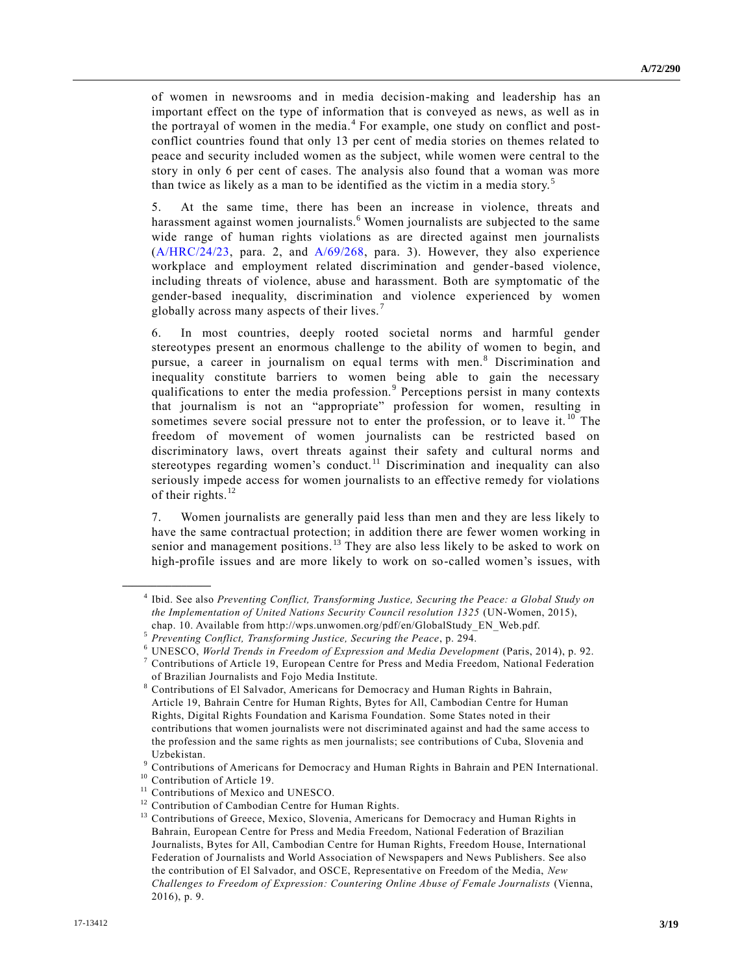of women in newsrooms and in media decision-making and leadership has an important effect on the type of information that is conveyed as news, as well as in the portrayal of women in the media.<sup>4</sup> For example, one study on conflict and postconflict countries found that only 13 per cent of media stories on themes related to peace and security included women as the subject, while women were central to the story in only 6 per cent of cases. The analysis also found that a woman was more than twice as likely as a man to be identified as the victim in a media story.<sup>5</sup>

5. At the same time, there has been an increase in violence, threats and harassment against women journalists.<sup>6</sup> Women journalists are subjected to the same wide range of human rights violations as are directed against men journalists  $(A/HRC/24/23, \text{ para. } 2, \text{ and } A/69/268, \text{ para. } 3)$  $(A/HRC/24/23, \text{ para. } 2, \text{ and } A/69/268, \text{ para. } 3)$  $(A/HRC/24/23, \text{ para. } 2, \text{ and } A/69/268, \text{ para. } 3)$  $(A/HRC/24/23, \text{ para. } 2, \text{ and } A/69/268, \text{ para. } 3)$ . However, they also experience workplace and employment related discrimination and gender-based violence, including threats of violence, abuse and harassment. Both are symptomatic of the gender-based inequality, discrimination and violence experienced by women globally across many aspects of their lives. <sup>7</sup>

6. In most countries, deeply rooted societal norms and harmful gender stereotypes present an enormous challenge to the ability of women to begin, and pursue, a career in journalism on equal terms with men.<sup>8</sup> Discrimination and inequality constitute barriers to women being able to gain the necessary qualifications to enter the media profession.<sup>9</sup> Perceptions persist in many contexts that journalism is not an "appropriate" profession for women, resulting in sometimes severe social pressure not to enter the profession, or to leave it.<sup>10</sup> The freedom of movement of women journalists can be restricted based on discriminatory laws, overt threats against their safety and cultural norms and stereotypes regarding women's conduct.<sup>11</sup> Discrimination and inequality can also seriously impede access for women journalists to an effective remedy for violations of their rights. $12$ 

7. Women journalists are generally paid less than men and they are less likely to have the same contractual protection; in addition there are fewer women working in senior and management positions.<sup>13</sup> They are also less likely to be asked to work on high-profile issues and are more likely to work on so-called women's issues, with

<sup>4</sup> Ibid. See also *Preventing Conflict, Transforming Justice, Securing the Peace: a Global Study on the Implementation of United Nations Security Council resolution 1325* (UN-Women, 2015), chap. 10. Available from http://wps.unwomen.org/pdf/en/GlobalStudy\_EN\_Web.pdf.

<sup>5</sup> *Preventing Conflict, Transforming Justice, Securing the Peace*, p. 294.

<sup>6</sup> UNESCO, *World Trends in Freedom of Expression and Media Development* (Paris, 2014), p. 92.

 $7$  Contributions of Article 19, European Centre for Press and Media Freedom, National Federation of Brazilian Journalists and Fojo Media Institute.

<sup>8</sup> Contributions of El Salvador, Americans for Democracy and Human Rights in Bahrain, Article 19, Bahrain Centre for Human Rights, Bytes for All, Cambodian Centre for Human Rights, Digital Rights Foundation and Karisma Foundation. Some States noted in their contributions that women journalists were not discriminated against and had the same access to the profession and the same rights as men journalists; see contributions of Cuba, Slovenia and Uzbekistan.

<sup>9</sup> Contributions of Americans for Democracy and Human Rights in Bahrain and PEN International.

<sup>&</sup>lt;sup>10</sup> Contribution of Article 19.<br><sup>11</sup> Contributions of Mexico at

Contributions of Mexico and UNESCO.

<sup>&</sup>lt;sup>12</sup> Contribution of Cambodian Centre for Human Rights.<br><sup>13</sup> Contributions of Greece Mexico, Slovenia, American

<sup>13</sup> Contributions of Greece, Mexico, Slovenia, Americans for Democracy and Human Rights in Bahrain, European Centre for Press and Media Freedom, National Federation of Brazilian Journalists, Bytes for All, Cambodian Centre for Human Rights, Freedom House, International Federation of Journalists and World Association of Newspapers and News Publishers. See also the contribution of El Salvador, and OSCE, Representative on Freedom of the Media, *New Challenges to Freedom of Expression: Countering Online Abuse of Female Journalists* (Vienna, 2016), p. 9.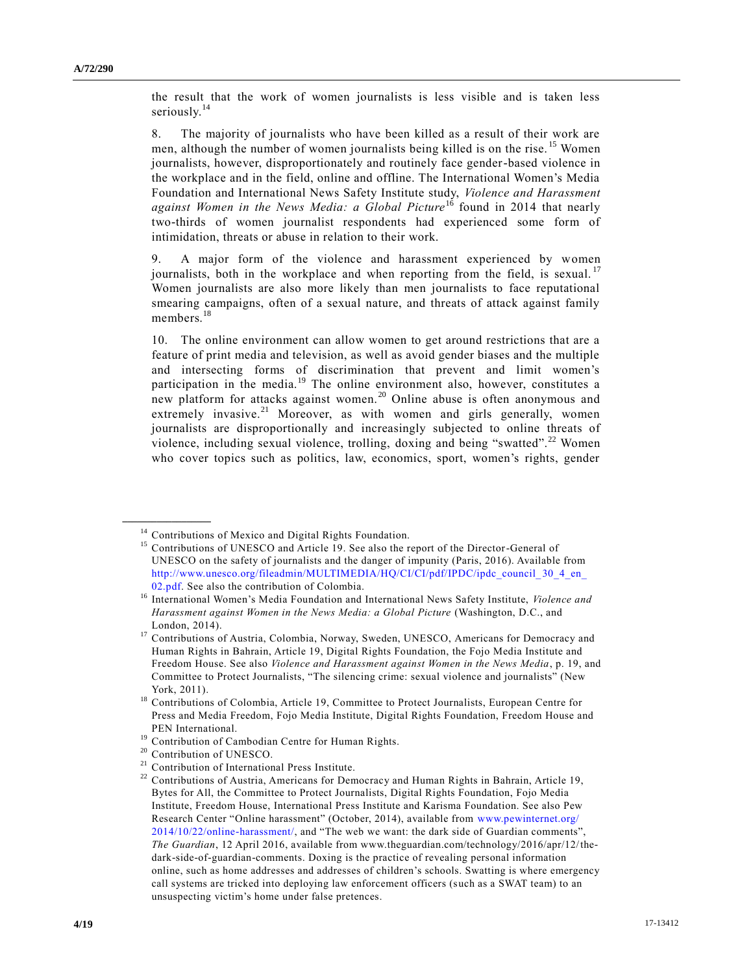the result that the work of women journalists is less visible and is taken less seriously.<sup>14</sup>

8. The majority of journalists who have been killed as a result of their work are men, although the number of women journalists being killed is on the rise.  $15$  Women journalists, however, disproportionately and routinely face gender-based violence in the workplace and in the field, online and offline. The International Women's Media Foundation and International News Safety Institute study, *Violence and Harassment against Women in the News Media: a Global Picture*<sup>16</sup> found in 2014 that nearly two-thirds of women journalist respondents had experienced some form of intimidation, threats or abuse in relation to their work.

9. A major form of the violence and harassment experienced by women journalists, both in the workplace and when reporting from the field, is sexual.<sup>17</sup> Women journalists are also more likely than men journalists to face reputational smearing campaigns, often of a sexual nature, and threats of attack against family members.<sup>18</sup>

10. The online environment can allow women to get around restrictions that are a feature of print media and television, as well as avoid gender biases and the multiple and intersecting forms of discrimination that prevent and limit women's participation in the media.<sup>19</sup> The online environment also, however, constitutes a new platform for attacks against women.<sup>20</sup> Online abuse is often anonymous and extremely invasive.<sup>21</sup> Moreover, as with women and girls generally, women journalists are disproportionally and increasingly subjected to online threats of violence, including sexual violence, trolling, doxing and being "swatted".<sup>22</sup> Women who cover topics such as politics, law, economics, sport, women's rights, gender

<sup>&</sup>lt;sup>14</sup> Contributions of Mexico and Digital Rights Foundation.

<sup>&</sup>lt;sup>15</sup> Contributions of UNESCO and Article 19. See also the report of the Director-General of UNESCO on the safety of journalists and the danger of impunity (Paris, 2016). Available from [http://www.unesco.org/fileadmin/MULTIMEDIA/HQ/CI/CI/pdf/IPDC/ipdc\\_council\\_](http://www.unesco.org/fileadmin/MULTIMEDIA/HQ/CI/CI/pdf/IPDC/ipdc_council_30_4_en_02.pdf) 30\_4\_en [02.pdf.](http://www.unesco.org/fileadmin/MULTIMEDIA/HQ/CI/CI/pdf/IPDC/ipdc_council_30_4_en_02.pdf) See also the contribution of Colombia.

<sup>16</sup> International Women's Media Foundation and International News Safety Institute, *Violence and Harassment against Women in the News Media: a Global Picture* (Washington, D.C., and London, 2014).

<sup>&</sup>lt;sup>17</sup> Contributions of Austria, Colombia, Norway, Sweden, UNESCO, Americans for Democracy and Human Rights in Bahrain, Article 19, Digital Rights Foundation, the Fojo Media Institute and Freedom House. See also *Violence and Harassment against Women in the News Media*, p. 19, and Committee to Protect Journalists, "The silencing crime: sexual violence and journalists" (New York, 2011).

<sup>&</sup>lt;sup>18</sup> Contributions of Colombia, Article 19, Committee to Protect Journalists, European Centre for Press and Media Freedom, Fojo Media Institute, Digital Rights Foundation, Freedom House and PEN International.

<sup>&</sup>lt;sup>19</sup> Contribution of Cambodian Centre for Human Rights.

<sup>20</sup> Contribution of UNESCO.

<sup>&</sup>lt;sup>21</sup> Contribution of International Press Institute.<br><sup>22</sup> Contributions of Austria, Americans for Dam

<sup>22</sup> Contributions of Austria, Americans for Democracy and Human Rights in Bahrain, Article 19, Bytes for All, the Committee to Protect Journalists, Digital Rights Foundation, Fojo Media Institute, Freedom House, International Press Institute and Karisma Foundation. See also Pew Research Center "Online harassment" (October, 2014), available from [www.pewinternet.org/](http://www.pewinternet.org/2014/10/22/online-harassment/) [2014/10/22/online-harassment/,](http://www.pewinternet.org/2014/10/22/online-harassment/) and "The web we want: the dark side of Guardian comments", *The Guardian*, 12 April 2016, available from www.theguardian.com/technology/2016/apr/12/thedark-side-of-guardian-comments. Doxing is the practice of revealing personal information online, such as home addresses and addresses of children's schools. Swatting is where emergency call systems are tricked into deploying law enforcement officers (such as a SWAT team) to an unsuspecting victim's home under false pretences.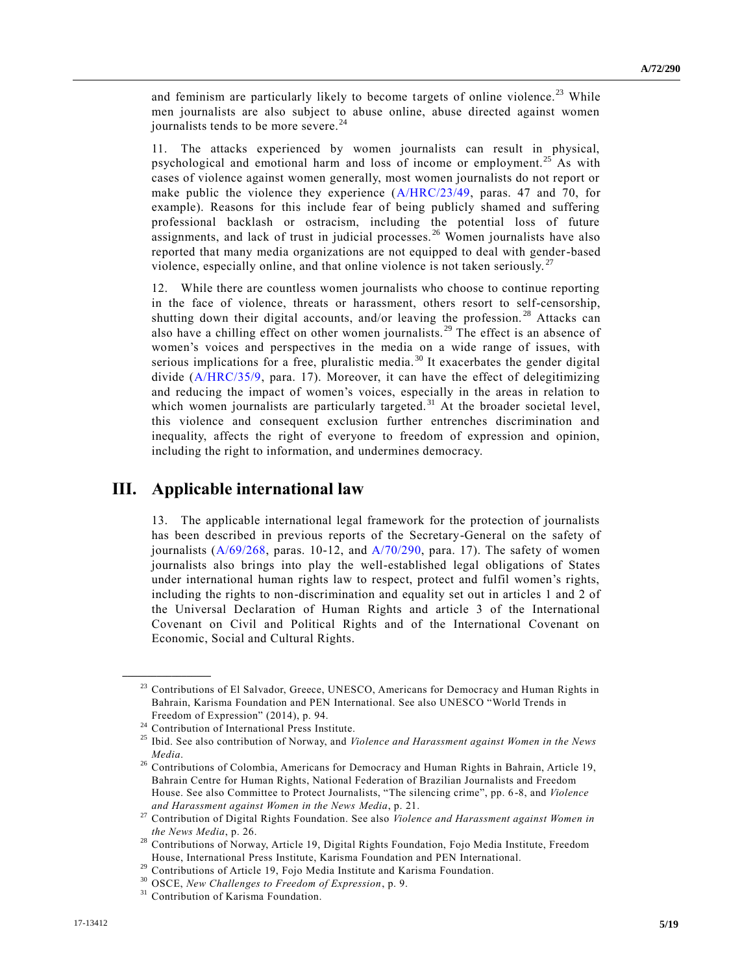and feminism are particularly likely to become targets of online violence.<sup>23</sup> While men journalists are also subject to abuse online, abuse directed against women journalists tends to be more severe. $24$ 

11. The attacks experienced by women journalists can result in physical, psychological and emotional harm and loss of income or employment.<sup>25</sup> As with cases of violence against women generally, most women journalists do not report or make public the violence they experience [\(A/HRC/23/49,](https://undocs.org/A/HRC/23/49) paras. 47 and 70, for example). Reasons for this include fear of being publicly shamed and suffering professional backlash or ostracism, including the potential loss of future assignments, and lack of trust in judicial processes. <sup>26</sup> Women journalists have also reported that many media organizations are not equipped to deal with gender-based violence, especially online, and that online violence is not taken seriously.<sup>27</sup>

12. While there are countless women journalists who choose to continue reporting in the face of violence, threats or harassment, others resort to self-censorship, shutting down their digital accounts, and/or leaving the profession.<sup>28</sup> Attacks can also have a chilling effect on other women journalists.<sup>29</sup> The effect is an absence of women's voices and perspectives in the media on a wide range of issues, with serious implications for a free, pluralistic media.<sup>30</sup> It exacerbates the gender digital divide [\(A/HRC/35/9,](https://undocs.org/A/HRC/35/9) para. 17). Moreover, it can have the effect of delegitimizing and reducing the impact of women's voices, especially in the areas in relation to which women journalists are particularly targeted.<sup>31</sup> At the broader societal level, this violence and consequent exclusion further entrenches discrimination and inequality, affects the right of everyone to freedom of expression and opinion, including the right to information, and undermines democracy.

### **III. Applicable international law**

13. The applicable international legal framework for the protection of journalists has been described in previous reports of the Secretary-General on the safety of journalists  $(A/69/268, \text{ paras. } 10-12, \text{ and } A/70/290, \text{ para. } 17)$  $(A/69/268, \text{ paras. } 10-12, \text{ and } A/70/290, \text{ para. } 17)$  $(A/69/268, \text{ paras. } 10-12, \text{ and } A/70/290, \text{ para. } 17)$  $(A/69/268, \text{ paras. } 10-12, \text{ and } A/70/290, \text{ para. } 17)$ . The safety of women journalists also brings into play the well-established legal obligations of States under international human rights law to respect, protect and fulfil women's rights, including the rights to non-discrimination and equality set out in articles 1 and 2 of the Universal Declaration of Human Rights and article 3 of the International Covenant on Civil and Political Rights and of the International Covenant on Economic, Social and Cultural Rights.

<sup>&</sup>lt;sup>23</sup> Contributions of El Salvador, Greece, UNESCO, Americans for Democracy and Human Rights in Bahrain, Karisma Foundation and PEN International. See also UNESCO "World Trends in Freedom of Expression" (2014), p. 94.

<sup>&</sup>lt;sup>24</sup> Contribution of International Press Institute.

<sup>25</sup> Ibid. See also contribution of Norway, and *Violence and Harassment against Women in the News Media*.

<sup>&</sup>lt;sup>26</sup> Contributions of Colombia, Americans for Democracy and Human Rights in Bahrain, Article 19, Bahrain Centre for Human Rights, National Federation of Brazilian Journalists and Freedom House. See also Committee to Protect Journalists, "The silencing crime", pp. 6 -8, and *Violence and Harassment against Women in the News Media*, p. 21.

<sup>27</sup> Contribution of Digital Rights Foundation. See also *Violence and Harassment against Women in the News Media*, p. 26.

<sup>&</sup>lt;sup>28</sup> Contributions of Norway, Article 19, Digital Rights Foundation, Fojo Media Institute, Freedom House, International Press Institute, Karisma Foundation and PEN International.

<sup>&</sup>lt;sup>29</sup> Contributions of Article 19, Fojo Media Institute and Karisma Foundation.

<sup>30</sup> OSCE, *New Challenges to Freedom of Expression*, p. 9.

<sup>&</sup>lt;sup>31</sup> Contribution of Karisma Foundation.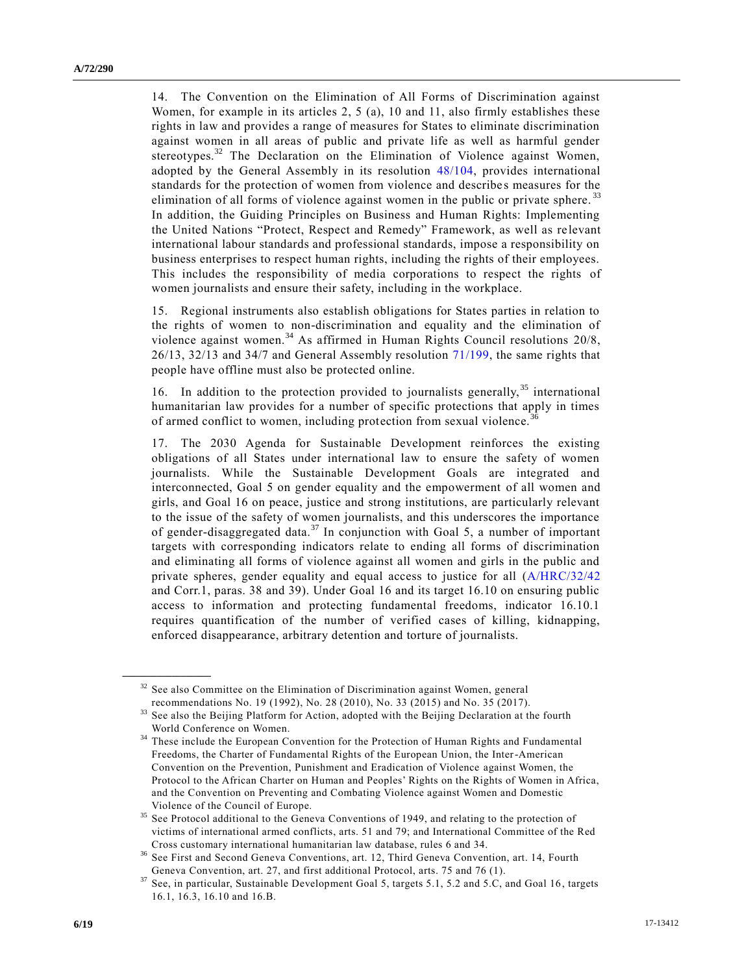14. The Convention on the Elimination of All Forms of Discrimination against Women, for example in its articles 2, 5 (a), 10 and 11, also firmly establishes these rights in law and provides a range of measures for States to eliminate discrimination against women in all areas of public and private life as well as harmful gender stereotypes.<sup>32</sup> The Declaration on the Elimination of Violence against Women, adopted by the General Assembly in its resolution [48/104,](https://undocs.org/A/RES/48/104) provides international standards for the protection of women from violence and describe s measures for the elimination of all forms of violence against women in the public or private sphere.<sup>33</sup> In addition, the Guiding Principles on Business and Human Rights: Implementing the United Nations "Protect, Respect and Remedy" Framework, as well as re levant international labour standards and professional standards, impose a responsibility on business enterprises to respect human rights, including the rights of their employees. This includes the responsibility of media corporations to respect the rights of women journalists and ensure their safety, including in the workplace.

15. Regional instruments also establish obligations for States parties in relation to the rights of women to non-discrimination and equality and the elimination of violence against women.<sup>34</sup> As affirmed in Human Rights Council resolutions 20/8, 26/13, 32/13 and 34/7 and General Assembly resolution [71/199,](https://undocs.org/A/RES/71/199) the same rights that people have offline must also be protected online.

16. In addition to the protection provided to journalists generally, <sup>35</sup> international humanitarian law provides for a number of specific protections that apply in times of armed conflict to women, including protection from sexual violence.<sup>3</sup>

17. The 2030 Agenda for Sustainable Development reinforces the existing obligations of all States under international law to ensure the safety of women journalists. While the Sustainable Development Goals are integrated and interconnected, Goal 5 on gender equality and the empowerment of all women and girls, and Goal 16 on peace, justice and strong institutions, are particularly relevant to the issue of the safety of women journalists, and this underscores the importance of gender-disaggregated data.<sup>37</sup> In conjunction with Goal 5, a number of important targets with corresponding indicators relate to ending all forms of discrimination and eliminating all forms of violence against all women and girls in the public and private spheres, gender equality and equal access to justice for all [\(A/HRC/32/42](https://undocs.org/A/HRC/32/42) and Corr.1, paras. 38 and 39). Under Goal 16 and its target 16.10 on ensuring public access to information and protecting fundamental freedoms, indicator 16.10.1 requires quantification of the number of verified cases of killing, kidnapping, enforced disappearance, arbitrary detention and torture of journalists.

 $32$  See also Committee on the Elimination of Discrimination against Women, general recommendations No. 19 (1992), No. 28 (2010), No. 33 (2015) and No. 35 (2017).

See also the Beijing Platform for Action, adopted with the Beijing Declaration at the fourth World Conference on Women.

<sup>&</sup>lt;sup>34</sup> These include the European Convention for the Protection of Human Rights and Fundamental Freedoms, the Charter of Fundamental Rights of the European Union, the Inter-American Convention on the Prevention, Punishment and Eradication of Violence against Women, the Protocol to the African Charter on Human and Peoples' Rights on the Rights of Women in Africa, and the Convention on Preventing and Combating Violence against Women and Domestic Violence of the Council of Europe.

<sup>&</sup>lt;sup>35</sup> See Protocol additional to the Geneva Conventions of 1949, and relating to the protection of victims of international armed conflicts, arts. 51 and 79; and International Committee of the Red Cross customary international humanitarian law database, rules 6 and 34.

<sup>36</sup> See First and Second Geneva Conventions, art. 12, Third Geneva Convention, art. 14, Fourth Geneva Convention, art. 27, and first additional Protocol, arts. 75 and 76 (1).

<sup>37</sup> See, in particular, Sustainable Development Goal 5, targets 5.1, 5.2 and 5.C, and Goal 16, targets 16.1, 16.3, 16.10 and 16.B.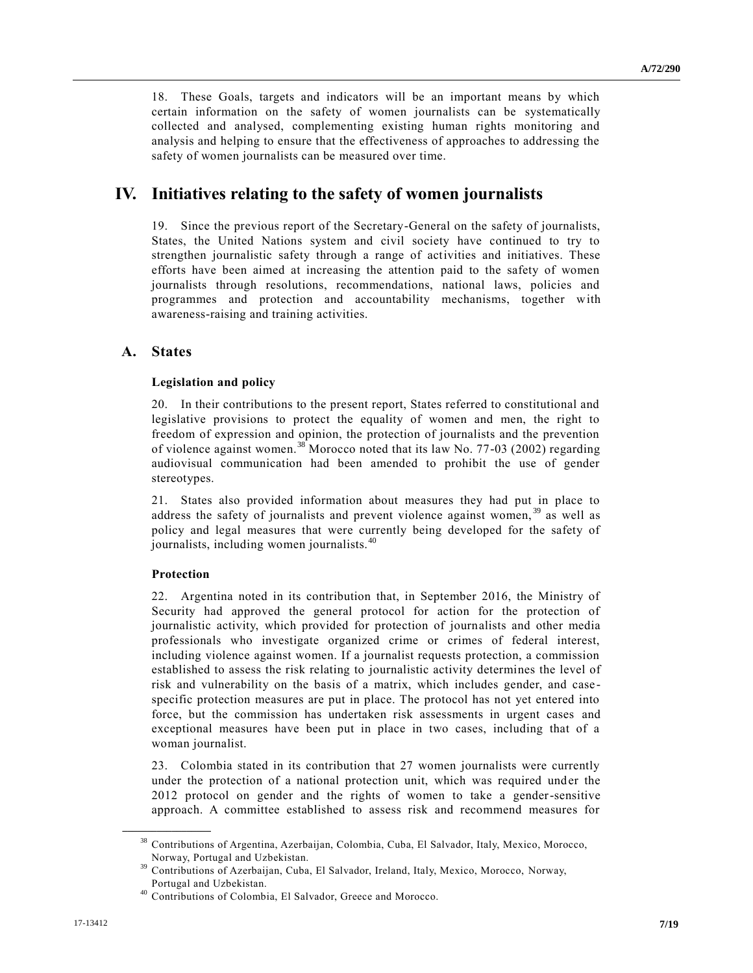18. These Goals, targets and indicators will be an important means by which certain information on the safety of women journalists can be systematically collected and analysed, complementing existing human rights monitoring and analysis and helping to ensure that the effectiveness of approaches to addressing the safety of women journalists can be measured over time.

# **IV. Initiatives relating to the safety of women journalists**

19. Since the previous report of the Secretary-General on the safety of journalists, States, the United Nations system and civil society have continued to try to strengthen journalistic safety through a range of activities and initiatives. These efforts have been aimed at increasing the attention paid to the safety of women journalists through resolutions, recommendations, national laws, policies and programmes and protection and accountability mechanisms, together with awareness-raising and training activities.

### **A. States**

#### **Legislation and policy**

20. In their contributions to the present report, States referred to constitutional and legislative provisions to protect the equality of women and men, the right to freedom of expression and opinion, the protection of journalists and the prevention of violence against women.<sup>38</sup> Morocco noted that its law No. 77-03 (2002) regarding audiovisual communication had been amended to prohibit the use of gender stereotypes.

21. States also provided information about measures they had put in place to address the safety of journalists and prevent violence against women, <sup>39</sup> as well as policy and legal measures that were currently being developed for the safety of journalists, including women journalists.<sup>40</sup>

#### **Protection**

**\_\_\_\_\_\_\_\_\_\_\_\_\_\_\_\_\_\_**

22. Argentina noted in its contribution that, in September 2016, the Ministry of Security had approved the general protocol for action for the protection of journalistic activity, which provided for protection of journalists and other media professionals who investigate organized crime or crimes of federal interest, including violence against women. If a journalist requests protection, a commission established to assess the risk relating to journalistic activity determines the level of risk and vulnerability on the basis of a matrix, which includes gender, and case specific protection measures are put in place. The protocol has not yet entered into force, but the commission has undertaken risk assessments in urgent cases and exceptional measures have been put in place in two cases, including that of a woman journalist.

23. Colombia stated in its contribution that 27 women journalists were currently under the protection of a national protection unit, which was required under the 2012 protocol on gender and the rights of women to take a gender-sensitive approach. A committee established to assess risk and recommend measures for

<sup>38</sup> Contributions of Argentina, Azerbaijan, Colombia, Cuba, El Salvador, Italy, Mexico, Morocco, Norway, Portugal and Uzbekistan.

<sup>39</sup> Contributions of Azerbaijan, Cuba, El Salvador, Ireland, Italy, Mexico, Morocco, Norway, Portugal and Uzbekistan.

<sup>40</sup> Contributions of Colombia, El Salvador, Greece and Morocco.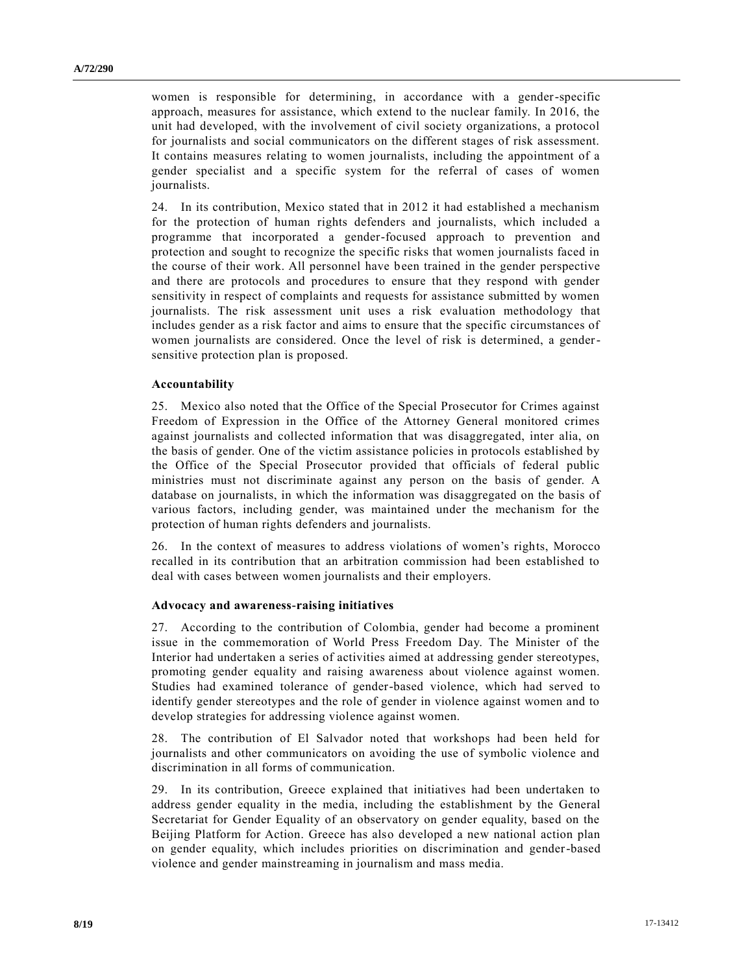women is responsible for determining, in accordance with a gender-specific approach, measures for assistance, which extend to the nuclear family. In 2016, the unit had developed, with the involvement of civil society organizations, a protocol for journalists and social communicators on the different stages of risk assessment. It contains measures relating to women journalists, including the appointment of a gender specialist and a specific system for the referral of cases of women journalists.

24. In its contribution, Mexico stated that in 2012 it had established a mechanism for the protection of human rights defenders and journalists, which included a programme that incorporated a gender-focused approach to prevention and protection and sought to recognize the specific risks that women journalists faced in the course of their work. All personnel have been trained in the gender perspective and there are protocols and procedures to ensure that they respond with gender sensitivity in respect of complaints and requests for assistance submitted by women journalists. The risk assessment unit uses a risk evaluation methodology that includes gender as a risk factor and aims to ensure that the specific circumstances of women journalists are considered. Once the level of risk is determined, a gendersensitive protection plan is proposed.

#### **Accountability**

25. Mexico also noted that the Office of the Special Prosecutor for Crimes against Freedom of Expression in the Office of the Attorney General monitored crimes against journalists and collected information that was disaggregated, inter alia, on the basis of gender. One of the victim assistance policies in protocols established by the Office of the Special Prosecutor provided that officials of federal public ministries must not discriminate against any person on the basis of gender. A database on journalists, in which the information was disaggregated on the basis of various factors, including gender, was maintained under the mechanism for the protection of human rights defenders and journalists.

26. In the context of measures to address violations of women's rights, Morocco recalled in its contribution that an arbitration commission had been established to deal with cases between women journalists and their employers.

#### **Advocacy and awareness-raising initiatives**

27. According to the contribution of Colombia, gender had become a prominent issue in the commemoration of World Press Freedom Day. The Minister of the Interior had undertaken a series of activities aimed at addressing gender stereotypes, promoting gender equality and raising awareness about violence against women. Studies had examined tolerance of gender-based violence, which had served to identify gender stereotypes and the role of gender in violence against women and to develop strategies for addressing violence against women.

28. The contribution of El Salvador noted that workshops had been held for journalists and other communicators on avoiding the use of symbolic violence and discrimination in all forms of communication.

29. In its contribution, Greece explained that initiatives had been undertaken to address gender equality in the media, including the establishment by the General Secretariat for Gender Equality of an observatory on gender equality, based on the Beijing Platform for Action. Greece has also developed a new national action plan on gender equality, which includes priorities on discrimination and gender-based violence and gender mainstreaming in journalism and mass media.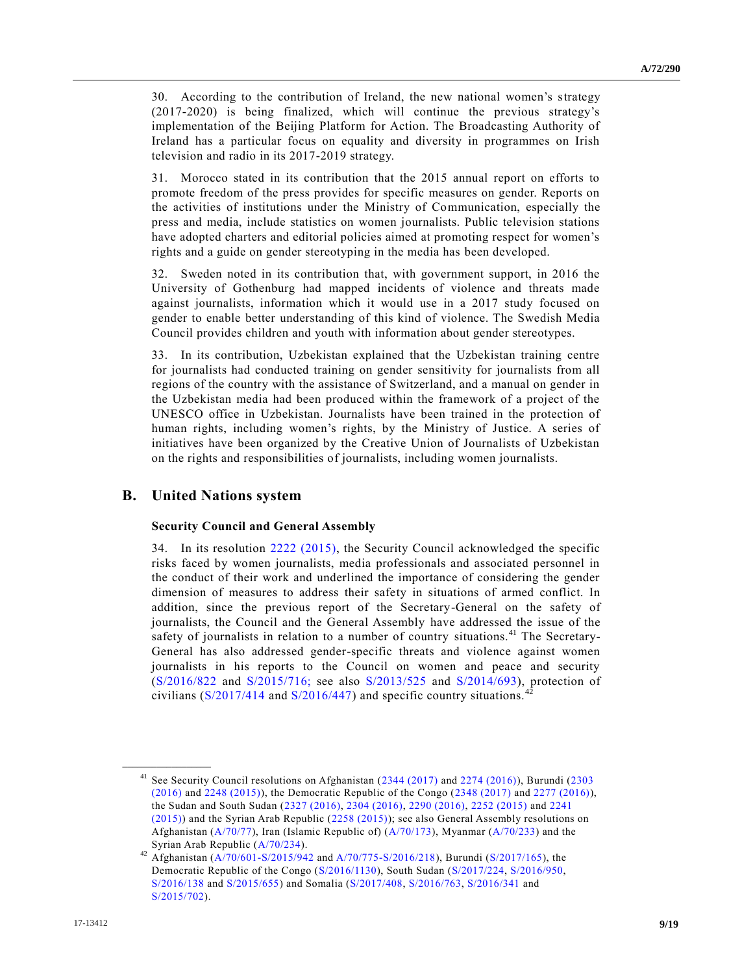30. According to the contribution of Ireland, the new national women's strategy (2017-2020) is being finalized, which will continue the previous strategy's implementation of the Beijing Platform for Action. The Broadcasting Authority of Ireland has a particular focus on equality and diversity in programmes on Irish television and radio in its 2017-2019 strategy.

31. Morocco stated in its contribution that the 2015 annual report on efforts to promote freedom of the press provides for specific measures on gender. Reports on the activities of institutions under the Ministry of Communication, especially the press and media, include statistics on women journalists. Public television stations have adopted charters and editorial policies aimed at promoting respect for women's rights and a guide on gender stereotyping in the media has been developed.

32. Sweden noted in its contribution that, with government support, in 2016 the University of Gothenburg had mapped incidents of violence and threats made against journalists, information which it would use in a 2017 study focused on gender to enable better understanding of this kind of violence. The Swedish Media Council provides children and youth with information about gender stereotypes.

33. In its contribution, Uzbekistan explained that the Uzbekistan training centre for journalists had conducted training on gender sensitivity for journalists from all regions of the country with the assistance of Switzerland, and a manual on gender in the Uzbekistan media had been produced within the framework of a project of the UNESCO office in Uzbekistan. Journalists have been trained in the protection of human rights, including women's rights, by the Ministry of Justice. A series of initiatives have been organized by the Creative Union of Journalists of Uzbekistan on the rights and responsibilities of journalists, including women journalists.

#### **B. United Nations system**

**\_\_\_\_\_\_\_\_\_\_\_\_\_\_\_\_\_\_**

#### **Security Council and General Assembly**

34. In its resolution [2222 \(2015\),](https://undocs.org/S/RES/2222(2015)) the Security Council acknowledged the specific risks faced by women journalists, media professionals and associated personnel in the conduct of their work and underlined the importance of considering the gender dimension of measures to address their safety in situations of armed conflict. In addition, since the previous report of the Secretary-General on the safety of journalists, the Council and the General Assembly have addressed the issue of the safety of journalists in relation to a number of country situations.<sup>41</sup> The Secretary-General has also addressed gender-specific threats and violence against women journalists in his reports to the Council on women and peace and security [\(S/2016/822](https://undocs.org/S/2016/822) and [S/2015/716;](https://undocs.org/S/2015/716;) see also [S/2013/525](https://undocs.org/S/2013/525) and [S/2014/693\)](https://undocs.org/S/2014/693), protection of civilians  $(S/2017/414$  and  $S/2016/447)$  and specific country situations.<sup>4</sup>

<sup>41</sup> See Security Council resolutions on Afghanistan [\(2344 \(2017\)](https://undocs.org/S/RES/2344(2017)) and [2274 \(2016\)\)](https://undocs.org/S/RES/2274(2016)), Burundi [\(2303](https://undocs.org/S/RES/2303(2016))  [\(2016\)](https://undocs.org/S/RES/2303(2016)) and [2248 \(2015\)\)](https://undocs.org/S/RES/2248(2015)), the Democratic Republic of the Congo [\(2348 \(2017\)](https://undocs.org/S/RES/2348(2017)) and [2277 \(2016\)\)](https://undocs.org/S/RES/2277(2016)), the Sudan and South Sudan [\(2327 \(2016\),](https://undocs.org/S/RES/2327(2016)) [2304 \(2016\),](https://undocs.org/S/RES/2304(2016)) [2290 \(2016\),](https://undocs.org/S/RES/2290(2016)) [2252 \(2015\)](https://undocs.org/S/RES/2252(2015)) and [2241](https://undocs.org/S/RES/2241(2015))  [\(2015\)\)](https://undocs.org/S/RES/2241(2015)) and the Syrian Arab Republic [\(2258 \(2015\)\)](https://undocs.org/S/RES/2258(2015)); see also General Assembly resolutions on Afghanistan [\(A/70/77\)](https://undocs.org/A/70/77), Iran (Islamic Republic of) [\(A/70/173\)](https://undocs.org/A/70/173), Myanmar [\(A/70/233\)](https://undocs.org/A/70/233) and the Syrian Arab Republic [\(A/70/234\)](https://undocs.org/A/70/234).

<sup>42</sup> Afghanistan [\(A/70/601-S/2015/942](https://undocs.org/A/70/601) and [A/70/775-S/2016/218\)](https://undocs.org/A/70/775), Burundi [\(S/2017/165\)](https://undocs.org/S/2017/165), the Democratic Republic of the Congo [\(S/2016/1130\)](https://undocs.org/S/2016/1130), South Sudan [\(S/2017/224,](https://undocs.org/S/2017/224) [S/2016/950,](https://undocs.org/S/2016/950) [S/2016/138](https://undocs.org/S/2016/138) and [S/2015/655\)](https://undocs.org/S/2015/655) and Somalia [\(S/2017/408,](https://undocs.org/S/2017/408) [S/2016/763,](https://undocs.org/S/2016/763) [S/2016/341](https://undocs.org/S/2016/341) and [S/2015/702\)](https://undocs.org/S/2015/702).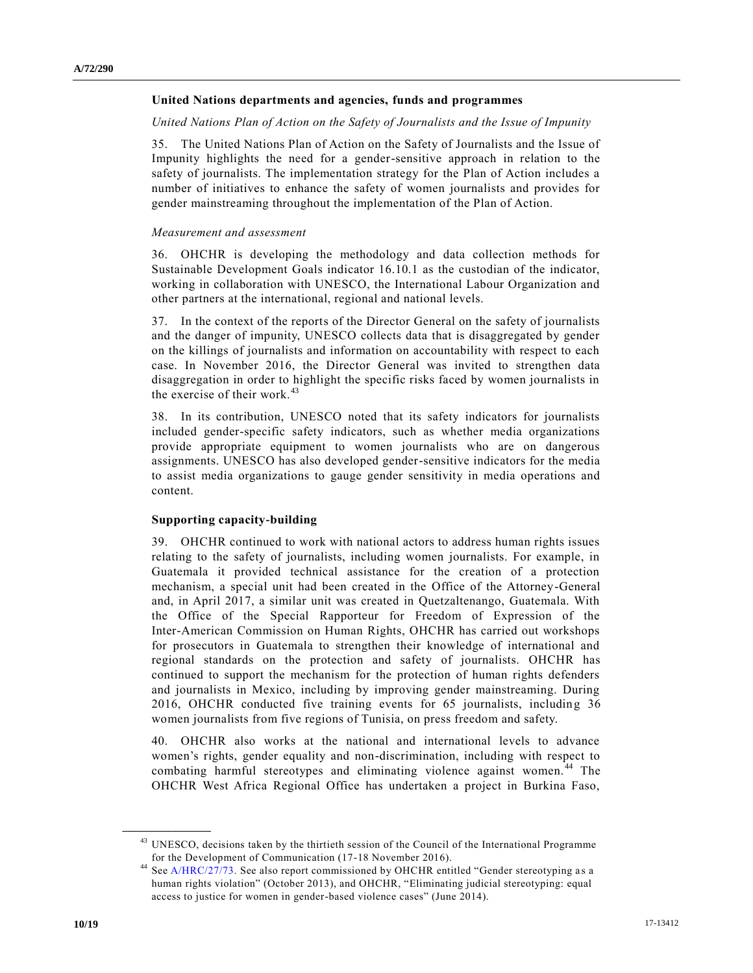#### **United Nations departments and agencies, funds and programmes**

#### *United Nations Plan of Action on the Safety of Journalists and the Issue of Impunity*

35. The United Nations Plan of Action on the Safety of Journalists and the Issue of Impunity highlights the need for a gender-sensitive approach in relation to the safety of journalists. The implementation strategy for the Plan of Action includes a number of initiatives to enhance the safety of women journalists and provides for gender mainstreaming throughout the implementation of the Plan of Action.

#### *Measurement and assessment*

36. OHCHR is developing the methodology and data collection methods for Sustainable Development Goals indicator 16.10.1 as the custodian of the indicator, working in collaboration with UNESCO, the International Labour Organization and other partners at the international, regional and national levels.

37. In the context of the reports of the Director General on the safety of journalists and the danger of impunity, UNESCO collects data that is disaggregated by gender on the killings of journalists and information on accountability with respect to each case. In November 2016, the Director General was invited to strengthen data disaggregation in order to highlight the specific risks faced by women journalists in the exercise of their work.<sup>43</sup>

38. In its contribution, UNESCO noted that its safety indicators for journalists included gender-specific safety indicators, such as whether media organizations provide appropriate equipment to women journalists who are on dangerous assignments. UNESCO has also developed gender-sensitive indicators for the media to assist media organizations to gauge gender sensitivity in media operations and content.

#### **Supporting capacity-building**

39. OHCHR continued to work with national actors to address human rights issues relating to the safety of journalists, including women journalists. For example, in Guatemala it provided technical assistance for the creation of a protection mechanism, a special unit had been created in the Office of the Attorney-General and, in April 2017, a similar unit was created in Quetzaltenango, Guatemala. With the Office of the Special Rapporteur for Freedom of Expression of the Inter-American Commission on Human Rights, OHCHR has carried out workshops for prosecutors in Guatemala to strengthen their knowledge of international and regional standards on the protection and safety of journalists. OHCHR has continued to support the mechanism for the protection of human rights defenders and journalists in Mexico, including by improving gender mainstreaming. During 2016, OHCHR conducted five training events for 65 journalists, including 36 women journalists from five regions of Tunisia, on press freedom and safety.

40. OHCHR also works at the national and international levels to advance women's rights, gender equality and non-discrimination, including with respect to combating harmful stereotypes and eliminating violence against women.<sup>44</sup> The OHCHR West Africa Regional Office has undertaken a project in Burkina Faso,

<sup>&</sup>lt;sup>43</sup> UNESCO, decisions taken by the thirtieth session of the Council of the International Programme for the Development of Communication (17-18 November 2016).

<sup>&</sup>lt;sup>44</sup> Se[e A/HRC/27/73.](https://undocs.org/A/HRC/27/73) See also report commissioned by OHCHR entitled "Gender stereotyping as a human rights violation" (October 2013), and OHCHR, "Eliminating judicial stereotyping: equal access to justice for women in gender-based violence cases" (June 2014).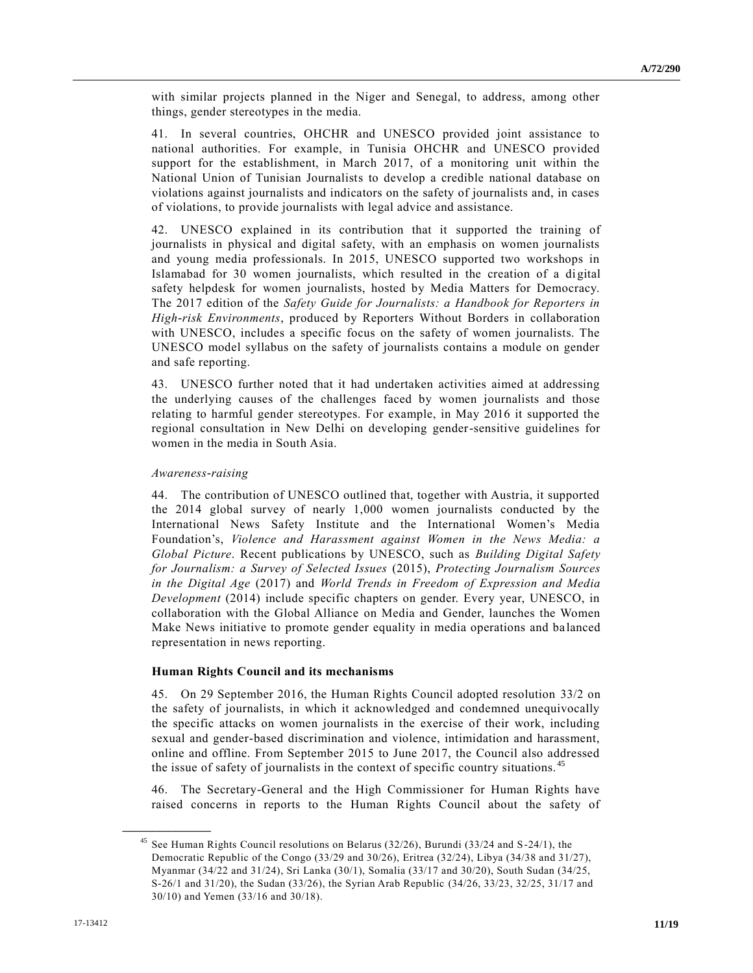with similar projects planned in the Niger and Senegal, to address, among other things, gender stereotypes in the media.

41. In several countries, OHCHR and UNESCO provided joint assistance to national authorities. For example, in Tunisia OHCHR and UNESCO provided support for the establishment, in March 2017, of a monitoring unit within the National Union of Tunisian Journalists to develop a credible national database on violations against journalists and indicators on the safety of journalists and, in cases of violations, to provide journalists with legal advice and assistance.

42. UNESCO explained in its contribution that it supported the training of journalists in physical and digital safety, with an emphasis on women journalists and young media professionals. In 2015, UNESCO supported two workshops in Islamabad for 30 women journalists, which resulted in the creation of a digital safety helpdesk for women journalists, hosted by Media Matters for Democracy. The 2017 edition of the *Safety Guide for Journalists: a Handbook for Reporters in High-risk Environments*, produced by Reporters Without Borders in collaboration with UNESCO, includes a specific focus on the safety of women journalists. The UNESCO model syllabus on the safety of journalists contains a module on gender and safe reporting.

43. UNESCO further noted that it had undertaken activities aimed at addressing the underlying causes of the challenges faced by women journalists and those relating to harmful gender stereotypes. For example, in May 2016 it supported the regional consultation in New Delhi on developing gender-sensitive guidelines for women in the media in South Asia.

#### *Awareness-raising*

44. The contribution of UNESCO outlined that, together with Austria, it supported the 2014 global survey of nearly 1,000 women journalists conducted by the International News Safety Institute and the International Women's Media Foundation's, *Violence and Harassment against Women in the News Media: a Global Picture*. Recent publications by UNESCO, such as *Building Digital Safety for Journalism: a Survey of Selected Issues* (2015), *Protecting Journalism Sources in the Digital Age* (2017) and *World Trends in Freedom of Expression and Media Development* (2014) include specific chapters on gender. Every year, UNESCO, in collaboration with the Global Alliance on Media and Gender, launches the Women Make News initiative to promote gender equality in media operations and ba lanced representation in news reporting.

#### **Human Rights Council and its mechanisms**

45. On 29 September 2016, the Human Rights Council adopted resolution 33/2 on the safety of journalists, in which it acknowledged and condemned unequivocally the specific attacks on women journalists in the exercise of their work, including sexual and gender-based discrimination and violence, intimidation and harassment, online and offline. From September 2015 to June 2017, the Council also addressed the issue of safety of journalists in the context of specific country situations. <sup>45</sup>

46. The Secretary-General and the High Commissioner for Human Rights have raised concerns in reports to the Human Rights Council about the safety of

<sup>&</sup>lt;sup>45</sup> See Human Rights Council resolutions on Belarus (32/26), Burundi (33/24 and S-24/1), the Democratic Republic of the Congo (33/29 and 30/26), Eritrea (32/24), Libya (34/38 and 31/27), Myanmar (34/22 and 31/24), Sri Lanka (30/1), Somalia (33/17 and 30/20), South Sudan (34/25, S-26/1 and 31/20), the Sudan (33/26), the Syrian Arab Republic (34/26, 33/23, 32/25, 31/17 and 30/10) and Yemen (33/16 and 30/18).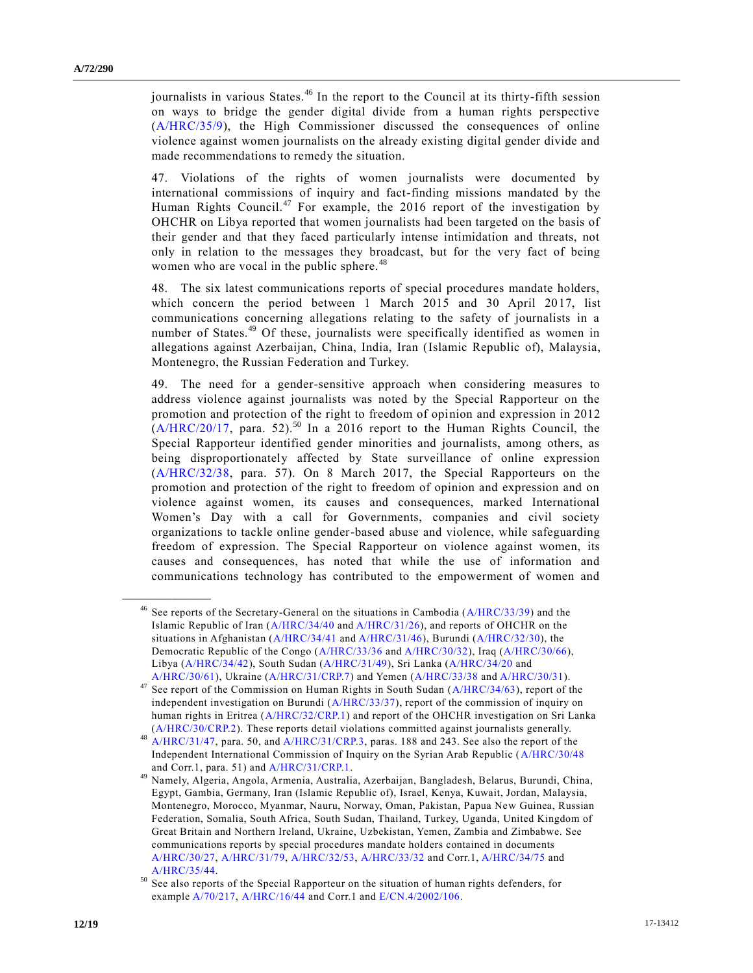journalists in various States.<sup>46</sup> In the report to the Council at its thirty-fifth session on ways to bridge the gender digital divide from a human rights perspective [\(A/HRC/35/9\)](https://undocs.org/A/HRC/35/9), the High Commissioner discussed the consequences of online violence against women journalists on the already existing digital gender divide and made recommendations to remedy the situation.

47. Violations of the rights of women journalists were documented by international commissions of inquiry and fact-finding missions mandated by the Human Rights Council.<sup>47</sup> For example, the 2016 report of the investigation by OHCHR on Libya reported that women journalists had been targeted on the basis of their gender and that they faced particularly intense intimidation and threats, not only in relation to the messages they broadcast, but for the very fact of being women who are vocal in the public sphere.<sup>48</sup>

48. The six latest communications reports of special procedures mandate holders, which concern the period between 1 March 2015 and 30 April 2017, list communications concerning allegations relating to the safety of journalists in a number of States.<sup>49</sup> Of these, journalists were specifically identified as women in allegations against Azerbaijan, China, India, Iran (Islamic Republic of), Malaysia, Montenegro, the Russian Federation and Turkey.

49. The need for a gender-sensitive approach when considering measures to address violence against journalists was noted by the Special Rapporteur on the promotion and protection of the right to freedom of opinion and expression in 2012  $(A/HRC/20/17$ , para. 52).<sup>50</sup> In a 2016 report to the Human Rights Council, the Special Rapporteur identified gender minorities and journalists, among others, as being disproportionately affected by State surveillance of online expression [\(A/HRC/32/38,](https://undocs.org/A/HRC/32/38) para. 57). On 8 March 2017, the Special Rapporteurs on the promotion and protection of the right to freedom of opinion and expression and on violence against women, its causes and consequences, marked International Women's Day with a call for Governments, companies and civil society organizations to tackle online gender-based abuse and violence, while safeguarding freedom of expression. The Special Rapporteur on violence against women, its causes and consequences, has noted that while the use of information and communications technology has contributed to the empowerment of women and

<sup>&</sup>lt;sup>46</sup> See reports of the Secretary-General on the situations in Cambodia ( $A/HRC/33/39$ ) and the Islamic Republic of Iran [\(A/HRC/34/40](https://undocs.org/A/HRC/34/40) and [A/HRC/31/26\)](https://undocs.org/A/HRC/31/26), and reports of OHCHR on the situations in Afghanistan [\(A/HRC/34/41](https://undocs.org/A/HRC/34/41) and [A/HRC/31/46\)](https://undocs.org/A/HRC/31/46), Burundi [\(A/HRC/32/30\)](https://undocs.org/A/HRC/32/30), the Democratic Republic of the Congo [\(A/HRC/33/36](https://undocs.org/A/HRC/33/36) and [A/HRC/30/32\)](https://undocs.org/A/HRC/30/32), Iraq [\(A/HRC/30/66\)](https://undocs.org/A/HRC/30/66), Libya [\(A/HRC/34/42\)](https://undocs.org/A/HRC/34/42), South Sudan [\(A/HRC/31/49\)](https://undocs.org/A/HRC/31/49), Sri Lanka [\(A/HRC/34/20](https://undocs.org/A/HRC/34/20) and [A/HRC/30/61\)](https://undocs.org/A/HRC/30/61), Ukraine [\(A/HRC/31/CRP.7\)](https://undocs.org/A/HRC/31/CRP.7) and Yemen [\(A/HRC/33/38](https://undocs.org/A/HRC/33/38) an[d A/HRC/30/31\)](https://undocs.org/A/HRC/30/31).

<sup>&</sup>lt;sup>47</sup> See report of the Commission on Human Rights in South Sudan ( $A/HRC/34/63$ ), report of the independent investigation on Burundi [\(A/HRC/33/37\)](https://undocs.org/A/HRC/33/37), report of the commission of inquiry on human rights in Eritrea [\(A/HRC/32/CRP.1\)](https://undocs.org/A/HRC/32/CRP.1) and report of the OHCHR investigation on Sri Lanka [\(A/HRC/30/CRP.2\)](https://undocs.org/A/HRC/30/CRP.2). These reports detail violations committed against journalists generally.

<sup>&</sup>lt;sup>48</sup> [A/HRC/31/47,](https://undocs.org/A/HRC/31/47) para. 50, and [A/HRC/31/CRP.3,](https://undocs.org/A/HRC/31/CRP.3) paras. 188 and 243. See also the report of the Independent International Commission of Inquiry on the Syrian Arab Republic [\(A/HRC/30/48](https://undocs.org/A/HRC/30/48) and Corr.1, para. 51) and [A/HRC/31/CRP.1.](https://undocs.org/A/HRC/31/CRP.1)

<sup>49</sup> Namely, Algeria, Angola, Armenia, Australia, Azerbaijan, Bangladesh, Belarus, Burundi, China, Egypt, Gambia, Germany, Iran (Islamic Republic of), Israel, Kenya, Kuwait, Jordan, Malaysia, Montenegro, Morocco, Myanmar, Nauru, Norway, Oman, Pakistan, Papua New Guinea, Russian Federation, Somalia, South Africa, South Sudan, Thailand, Turkey, Uganda, United Kingdom of Great Britain and Northern Ireland, Ukraine, Uzbekistan, Yemen, Zambia and Zimbabwe. See communications reports by special procedures mandate holders contained in documents [A/HRC/30/27,](https://undocs.org/A/HRC/30/27) [A/HRC/31/79,](https://undocs.org/A/HRC/31/79) [A/HRC/32/53,](https://undocs.org/A/HRC/32/53) [A/HRC/33/32](https://undocs.org/A/HRC/33/32) and Corr.1[, A/HRC/34/75](https://undocs.org/A/HRC/34/75) and [A/HRC/35/44.](https://undocs.org/A/HRC/35/44)

See also reports of the Special Rapporteur on the situation of human rights defenders, for exampl[e A/70/217,](https://undocs.org/A/70/217) [A/HRC/16/44](https://undocs.org/A/HRC/16/44) and Corr.1 and [E/CN.4/2002/106.](https://undocs.org/E/CN.4/2002/106)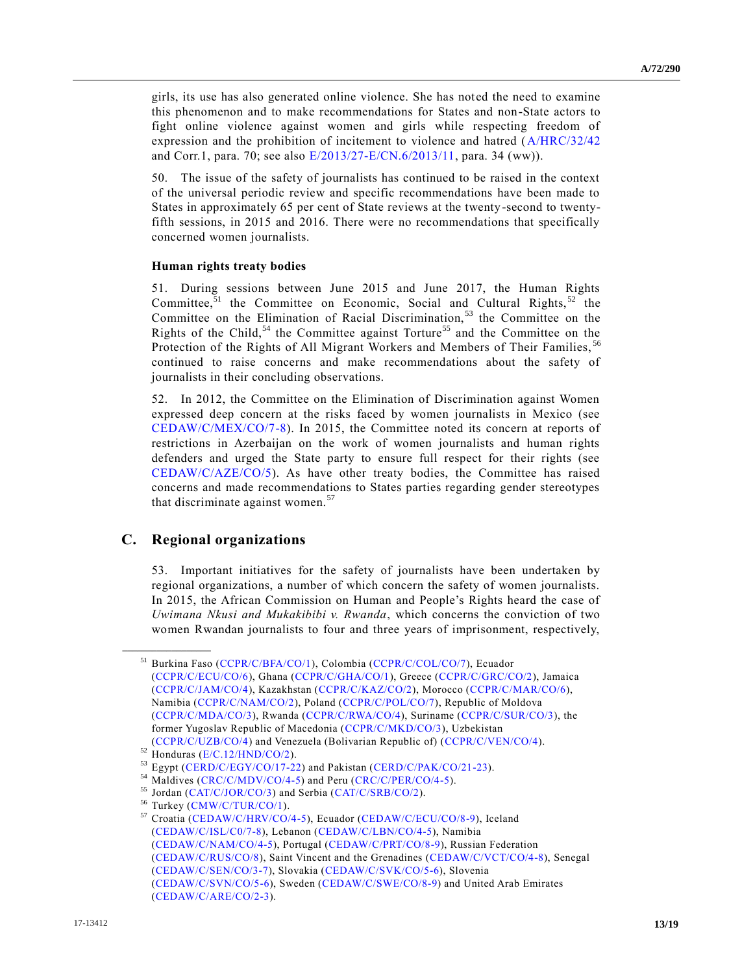girls, its use has also generated online violence. She has noted the need to examine this phenomenon and to make recommendations for States and non-State actors to fight online violence against women and girls while respecting freedom of expression and the prohibition of incitement to violence and hatred [\(A/HRC/32/42](https://undocs.org/A/HRC/32/42) and Corr.1, para. 70; see also [E/2013/27-E/CN.6/2013/11,](https://undocs.org/E/2013/27) para. 34 (ww)).

50. The issue of the safety of journalists has continued to be raised in the context of the universal periodic review and specific recommendations have been made to States in approximately 65 per cent of State reviews at the twenty-second to twentyfifth sessions, in 2015 and 2016. There were no recommendations that specifically concerned women journalists.

#### **Human rights treaty bodies**

51. During sessions between June 2015 and June 2017, the Human Rights Committee,<sup>51</sup> the Committee on Economic, Social and Cultural Rights,  $52$  the Committee on the Elimination of Racial Discrimination,<sup>53</sup> the Committee on the Rights of the Child,<sup>54</sup> the Committee against Torture<sup>55</sup> and the Committee on the Protection of the Rights of All Migrant Workers and Members of Their Families,<sup>56</sup> continued to raise concerns and make recommendations about the safety of journalists in their concluding observations.

52. In 2012, the Committee on the Elimination of Discrimination against Women expressed deep concern at the risks faced by women journalists in Mexico (see [CEDAW/C/MEX/CO/7-8\)](https://undocs.org/CEDAW/C/MEX/CO/7). In 2015, the Committee noted its concern at reports of restrictions in Azerbaijan on the work of women journalists and human rights defenders and urged the State party to ensure full respect for their rights (see [CEDAW/C/AZE/CO/5\)](https://undocs.org/CEDAW/C/AZE/CO/5). As have other treaty bodies, the Committee has raised concerns and made recommendations to States parties regarding gender stereotypes that discriminate against women.<sup>57</sup>

#### **C. Regional organizations**

**\_\_\_\_\_\_\_\_\_\_\_\_\_\_\_\_\_\_**

53. Important initiatives for the safety of journalists have been undertaken by regional organizations, a number of which concern the safety of women journalists. In 2015, the African Commission on Human and People's Rights heard the case of *Uwimana Nkusi and Mukakibibi v. Rwanda*, which concerns the conviction of two women Rwandan journalists to four and three years of imprisonment, respectively,

<sup>51</sup> Burkina Faso [\(CCPR/C/BFA/CO/1\)](https://undocs.org/CCPR/C/BFA/CO/1), Colombia [\(CCPR/C/COL/CO/7\)](https://undocs.org/CCPR/C/COL/CO/7), Ecuador [\(CCPR/C/ECU/CO/6\)](https://undocs.org/CCPR/C/ECU/CO/6), Ghana [\(CCPR/C/GHA/CO/1\)](https://undocs.org/CCPR/C/GHA/CO/1), Greece [\(CCPR/C/GRC/CO/2\)](https://undocs.org/CCPR/C/GRC/CO/2), Jamaica [\(CCPR/C/JAM/CO/4\)](https://undocs.org/CCPR/C/JAM/CO/4), Kazakhstan [\(CCPR/C/KAZ/CO/2\)](https://undocs.org/CCPR/C/KAZ/CO/2), Morocco [\(CCPR/C/MAR/CO/6\)](https://undocs.org/CCPR/C/MAR/CO/6), Namibia [\(CCPR/C/NAM/CO/2\)](https://undocs.org/CCPR/C/NAM/CO/2), Poland [\(CCPR/C/POL/CO/7\)](https://undocs.org/CCPR/C/POL/CO/7), Republic of Moldova [\(CCPR/C/MDA/CO/3\)](https://undocs.org/CCPR/C/MDA/CO/3), Rwanda [\(CCPR/C/RWA/CO/4\)](https://undocs.org/CCPR/C/RWA/CO/4), Suriname [\(CCPR/C/SUR/CO/3\)](https://undocs.org/CCPR/C/SUR/CO/3), the former Yugoslav Republic of Macedonia [\(CCPR/C/MKD/CO/3\)](https://undocs.org/CCPR/C/MKD/CO/3), Uzbekistan [\(CCPR/C/UZB/CO/4\)](https://undocs.org/CCPR/C/UZB/CO/4) and Venezuela (Bolivarian Republic of) [\(CCPR/C/VEN/CO/4\)](https://undocs.org/CCPR/C/VEN/CO/4).

 $52$  Honduras [\(E/C.12/HND/CO/2\)](https://undocs.org/E/C.12/HND/CO/2).

<sup>53</sup> Egypt [\(CERD/C/EGY/CO/17-22\)](https://undocs.org/CERD/C/EGY/CO/17) and Pakistan [\(CERD/C/PAK/CO/21-23\)](https://undocs.org/CERD/C/PAK/CO/21).

<sup>54</sup> Maldives [\(CRC/C/MDV/CO/4-5\)](https://undocs.org/CRC/C/MDV/CO/4) and Peru [\(CRC/C/PER/CO/4-5\)](https://undocs.org/CRC/C/PER/CO/4).

<sup>55</sup> Jordan [\(CAT/C/JOR/CO/3\)](https://undocs.org/CAT/C/JOR/CO/3) and Serbia [\(CAT/C/SRB/CO/2\)](https://undocs.org/CAT/C/SRB/CO/2).

<sup>&</sup>lt;sup>56</sup> Turkey [\(CMW/C/TUR/CO/1\)](https://undocs.org/CMW/C/TUR/CO/1).<br><sup>57</sup> Croatia (CEDAW/C/HRV/CO/

<sup>57</sup> Croatia [\(CEDAW/C/HRV/CO/4-5\)](https://undocs.org/CEDAW/C/HRV/CO/4), Ecuador [\(CEDAW/C/ECU/CO/8-9\)](https://undocs.org/CEDAW/C/ECU/CO/8), Iceland [\(CEDAW/C/ISL/C0/7-8\)](https://undocs.org/CEDAW/C/ISL/C0/7), Lebanon [\(CEDAW/C/LBN/CO/4-5\)](https://undocs.org/CEDAW/C/LBN/CO/4), Namibia [\(CEDAW/C/NAM/CO/4-5\)](https://undocs.org/CEDAW/C/NAM/CO/45), Portugal [\(CEDAW/C/PRT/CO/8-9\)](https://undocs.org/CEDAW/C/PRT/CO/8), Russian Federation [\(CEDAW/C/RUS/CO/8\)](https://undocs.org/CEDAW/C/RUS/CO/8), Saint Vincent and the Grenadines [\(CEDAW/C/VCT/CO/4-8\)](https://undocs.org/CEDAW/C/VCT/CO/4), Senegal [\(CEDAW/C/SEN/CO/3-7\)](https://undocs.org/CEDAW/C/SEN/CO/3), Slovakia [\(CEDAW/C/SVK/CO/5-6\)](https://undocs.org/CEDAW/C/SVK/CO/5), Slovenia [\(CEDAW/C/SVN/CO/5-6\)](https://undocs.org/CEDAW/C/SVN/CO/5), Sweden [\(CEDAW/C/SWE/CO/8-9\)](https://undocs.org/CEDAW/C/SWE/CO/8) and United Arab Emirates [\(CEDAW/C/ARE/CO/2-3\)](https://undocs.org/CEDAW/C/ARE/CO/2).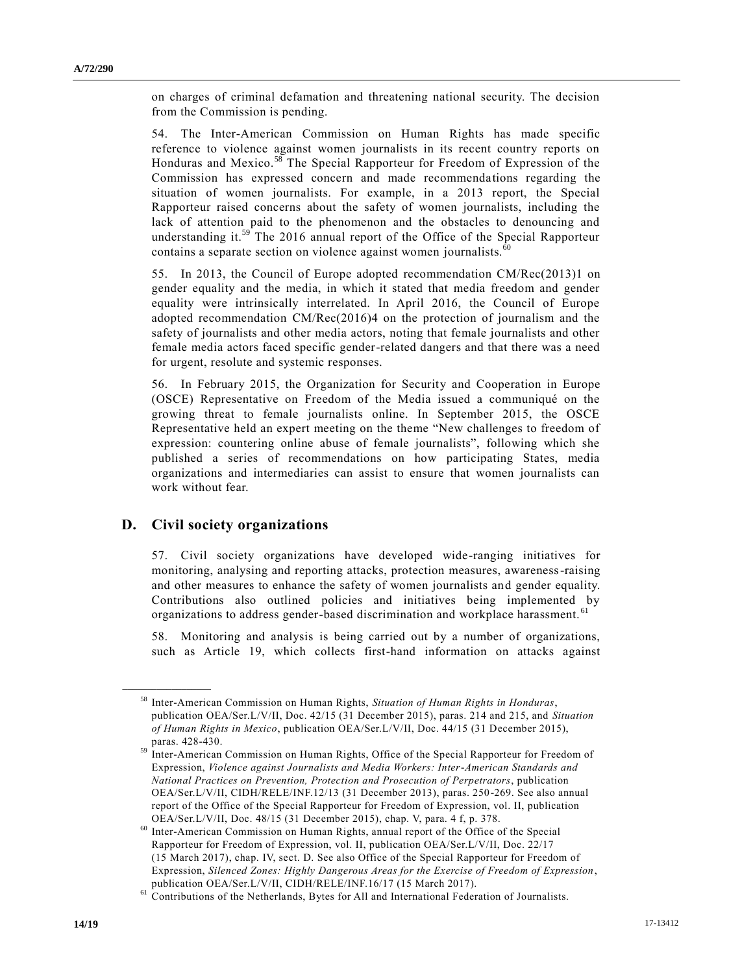on charges of criminal defamation and threatening national security. The decision from the Commission is pending.

54. The Inter-American Commission on Human Rights has made specific reference to violence against women journalists in its recent country reports on Honduras and Mexico.<sup>58</sup> The Special Rapporteur for Freedom of Expression of the Commission has expressed concern and made recommendations regarding the situation of women journalists. For example, in a 2013 report, the Special Rapporteur raised concerns about the safety of women journalists, including the lack of attention paid to the phenomenon and the obstacles to denouncing and understanding it.<sup>59</sup> The 2016 annual report of the Office of the Special Rapporteur contains a separate section on violence against women journalists. $60$ 

55. In 2013, the Council of Europe adopted recommendation CM/Rec(2013)1 on gender equality and the media, in which it stated that media freedom and gender equality were intrinsically interrelated. In April 2016, the Council of Europe adopted recommendation CM/Rec(2016)4 on the protection of journalism and the safety of journalists and other media actors, noting that female journalists and other female media actors faced specific gender-related dangers and that there was a need for urgent, resolute and systemic responses.

56. In February 2015, the Organization for Security and Cooperation in Europe (OSCE) Representative on Freedom of the Media issued a communiqué on the growing threat to female journalists online. In September 2015, the OSCE Representative held an expert meeting on the theme "New challenges to freedom of expression: countering online abuse of female journalists", following which she published a series of recommendations on how participating States, media organizations and intermediaries can assist to ensure that women journalists can work without fear.

### **D. Civil society organizations**

**\_\_\_\_\_\_\_\_\_\_\_\_\_\_\_\_\_\_**

57. Civil society organizations have developed wide-ranging initiatives for monitoring, analysing and reporting attacks, protection measures, awareness-raising and other measures to enhance the safety of women journalists and gender equality. Contributions also outlined policies and initiatives being implemented by organizations to address gender-based discrimination and workplace harassment.<sup>61</sup>

58. Monitoring and analysis is being carried out by a number of organizations, such as Article 19, which collects first-hand information on attacks against

<sup>58</sup> Inter-American Commission on Human Rights, *Situation of Human Rights in Honduras*, publication OEA/Ser.L/V/II, Doc. 42/15 (31 December 2015), paras. 214 and 215, and *Situation of Human Rights in Mexico*, publication OEA/Ser.L/V/II, Doc. 44/15 (31 December 2015), paras. 428-430.

<sup>&</sup>lt;sup>59</sup> Inter-American Commission on Human Rights, Office of the Special Rapporteur for Freedom of Expression, *Violence against Journalists and Media Workers: Inter-American Standards and National Practices on Prevention, Protection and Prosecution of Perpetrators*, publication OEA/Ser.L/V/II, CIDH/RELE/INF.12/13 (31 December 2013), paras. 250-269. See also annual report of the Office of the Special Rapporteur for Freedom of Expression, vol. II, publication OEA/Ser.L/V/II, Doc. 48/15 (31 December 2015), chap. V, para. 4 f, p. 378.

<sup>60</sup> Inter-American Commission on Human Rights, annual report of the Office of the Special Rapporteur for Freedom of Expression, vol. II, publication OEA/Ser.L/V/II, Doc. 22/17 (15 March 2017), chap. IV, sect. D. See also Office of the Special Rapporteur for Freedom of Expression, *Silenced Zones: Highly Dangerous Areas for the Exercise of Freedom of Expression*, publication OEA/Ser.L/V/II, CIDH/RELE/INF.16/17 (15 March 2017).

<sup>&</sup>lt;sup>61</sup> Contributions of the Netherlands, Bytes for All and International Federation of Journalists.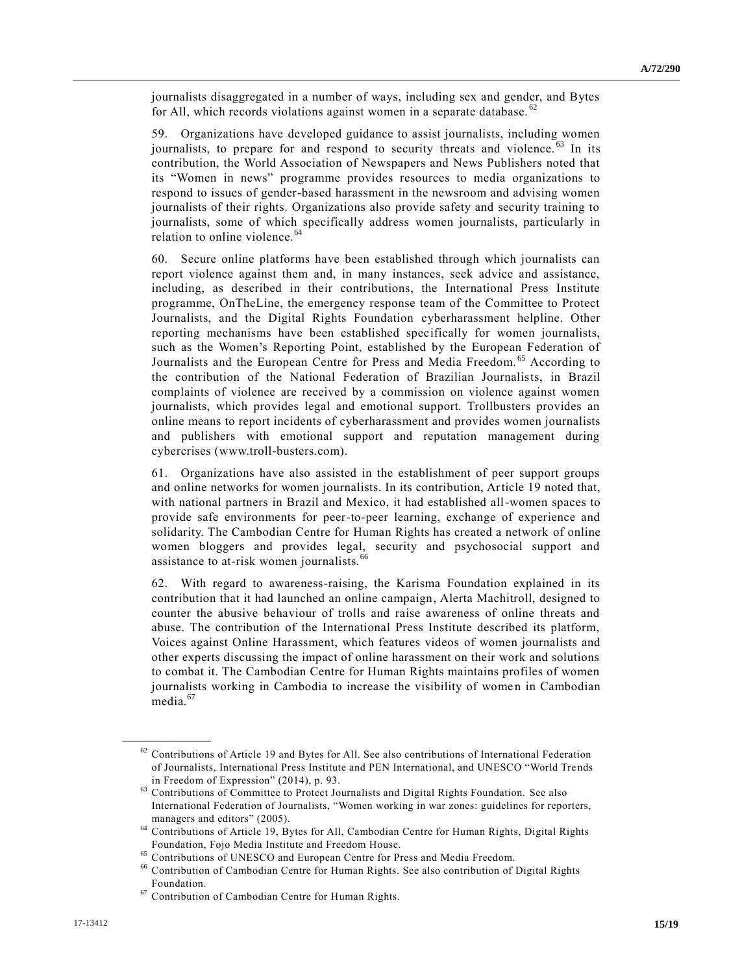journalists disaggregated in a number of ways, including sex and gender, and Bytes for All, which records violations against women in a separate database.  $62$ 

59. Organizations have developed guidance to assist journalists, including women journalists, to prepare for and respond to security threats and violence.<sup>63</sup> In its contribution, the World Association of Newspapers and News Publishers noted that its "Women in news" programme provides resources to media organizations to respond to issues of gender-based harassment in the newsroom and advising women journalists of their rights. Organizations also provide safety and security training to journalists, some of which specifically address women journalists, particularly in relation to online violence.<sup>64</sup>

60. Secure online platforms have been established through which journalists can report violence against them and, in many instances, seek advice and assistance, including, as described in their contributions, the International Press Institute programme, OnTheLine, the emergency response team of the Committee to Protect Journalists, and the Digital Rights Foundation cyberharassment helpline. Other reporting mechanisms have been established specifically for women journalists, such as the Women's Reporting Point, established by the European Federation of Journalists and the European Centre for Press and Media Freedom.<sup>65</sup> According to the contribution of the National Federation of Brazilian Journalists, in Brazil complaints of violence are received by a commission on violence against women journalists, which provides legal and emotional support. Trollbusters provides an online means to report incidents of cyberharassment and provides women journalists and publishers with emotional support and reputation management during cybercrises (www.troll-busters.com).

61. Organizations have also assisted in the establishment of peer support groups and online networks for women journalists. In its contribution, Article 19 noted that, with national partners in Brazil and Mexico, it had established all-women spaces to provide safe environments for peer-to-peer learning, exchange of experience and solidarity. The Cambodian Centre for Human Rights has created a network of online women bloggers and provides legal, security and psychosocial support and assistance to at-risk women journalists.<sup>6</sup>

62. With regard to awareness-raising, the Karisma Foundation explained in its contribution that it had launched an online campaign, Alerta Machitroll, designed to counter the abusive behaviour of trolls and raise awareness of online threats and abuse. The contribution of the International Press Institute described its platform, Voices against Online Harassment, which features videos of women journalists and other experts discussing the impact of online harassment on their work and solutions to combat it. The Cambodian Centre for Human Rights maintains profiles of women journalists working in Cambodia to increase the visibility of women in Cambodian media.<sup>67</sup>

 $62$  Contributions of Article 19 and Bytes for All. See also contributions of International Federation of Journalists, International Press Institute and PEN International, and UNESCO "World Tre nds in Freedom of Expression" (2014), p. 93.

<sup>63</sup> Contributions of Committee to Protect Journalists and Digital Rights Foundation. See also International Federation of Journalists, "Women working in war zones: guidelines for reporters, managers and editors" (2005).

<sup>64</sup> Contributions of Article 19, Bytes for All, Cambodian Centre for Human Rights, Digital Rights Foundation, Fojo Media Institute and Freedom House.

<sup>65</sup> Contributions of UNESCO and European Centre for Press and Media Freedom.

<sup>66</sup> Contribution of Cambodian Centre for Human Rights. See also contribution of Digital Rights Foundation.

<sup>67</sup> Contribution of Cambodian Centre for Human Rights.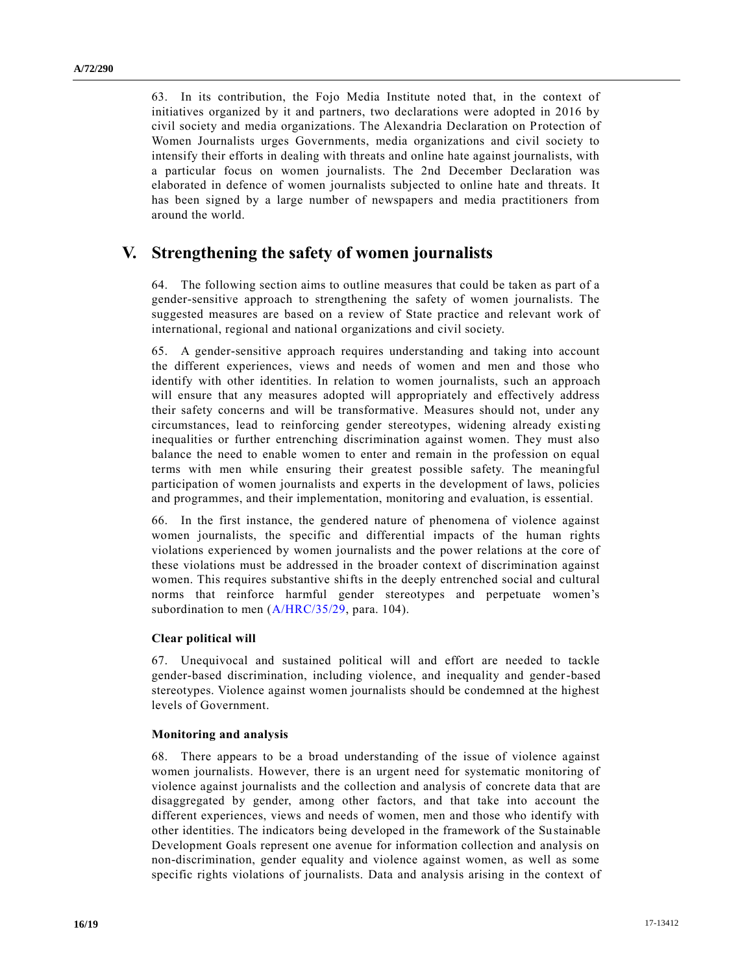63. In its contribution, the Fojo Media Institute noted that, in the context of initiatives organized by it and partners, two declarations were adopted in 2016 by civil society and media organizations. The Alexandria Declaration on Protection of Women Journalists urges Governments, media organizations and civil society to intensify their efforts in dealing with threats and online hate against journalists, with a particular focus on women journalists. The 2nd December Declaration was elaborated in defence of women journalists subjected to online hate and threats. It has been signed by a large number of newspapers and media practitioners from around the world.

# **V. Strengthening the safety of women journalists**

64. The following section aims to outline measures that could be taken as part of a gender-sensitive approach to strengthening the safety of women journalists. The suggested measures are based on a review of State practice and relevant work of international, regional and national organizations and civil society.

65. A gender-sensitive approach requires understanding and taking into account the different experiences, views and needs of women and men and those who identify with other identities. In relation to women journalists, such an approach will ensure that any measures adopted will appropriately and effectively address their safety concerns and will be transformative. Measures should not, under any circumstances, lead to reinforcing gender stereotypes, widening already existing inequalities or further entrenching discrimination against women. They must also balance the need to enable women to enter and remain in the profession on equal terms with men while ensuring their greatest possible safety. The meaningful participation of women journalists and experts in the development of laws, policies and programmes, and their implementation, monitoring and evaluation, is essential.

66. In the first instance, the gendered nature of phenomena of violence against women journalists, the specific and differential impacts of the human rights violations experienced by women journalists and the power relations at the core of these violations must be addressed in the broader context of discrimination against women. This requires substantive shifts in the deeply entrenched social and cultural norms that reinforce harmful gender stereotypes and perpetuate women's subordination to men [\(A/HRC/35/29,](https://undocs.org/A/HRC/35/29) para. 104).

#### **Clear political will**

67. Unequivocal and sustained political will and effort are needed to tackle gender-based discrimination, including violence, and inequality and gender-based stereotypes. Violence against women journalists should be condemned at the highest levels of Government.

#### **Monitoring and analysis**

68. There appears to be a broad understanding of the issue of violence against women journalists. However, there is an urgent need for systematic monitoring of violence against journalists and the collection and analysis of concrete data that are disaggregated by gender, among other factors, and that take into account the different experiences, views and needs of women, men and those who identify with other identities. The indicators being developed in the framework of the Sustainable Development Goals represent one avenue for information collection and analysis on non-discrimination, gender equality and violence against women, as well as some specific rights violations of journalists. Data and analysis arising in the context of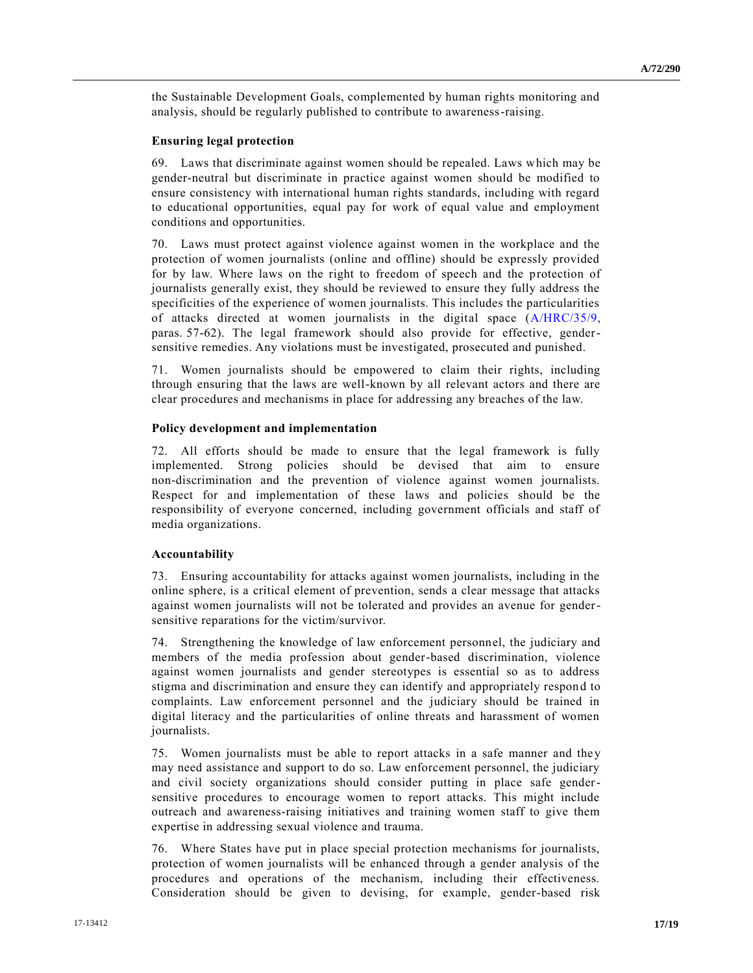the Sustainable Development Goals, complemented by human rights monitoring and analysis, should be regularly published to contribute to awareness-raising.

#### **Ensuring legal protection**

69. Laws that discriminate against women should be repealed. Laws which may be gender-neutral but discriminate in practice against women should be modified to ensure consistency with international human rights standards, including with regard to educational opportunities, equal pay for work of equal value and employment conditions and opportunities.

70. Laws must protect against violence against women in the workplace and the protection of women journalists (online and offline) should be expressly provided for by law. Where laws on the right to freedom of speech and the protection of journalists generally exist, they should be reviewed to ensure they fully address the specificities of the experience of women journalists. This includes the particularities of attacks directed at women journalists in the digital space [\(A/HRC/35/9,](https://undocs.org/A/HRC/35/9) paras. 57-62). The legal framework should also provide for effective, gendersensitive remedies. Any violations must be investigated, prosecuted and punished.

71. Women journalists should be empowered to claim their rights, including through ensuring that the laws are well-known by all relevant actors and there are clear procedures and mechanisms in place for addressing any breaches of the law.

#### **Policy development and implementation**

72. All efforts should be made to ensure that the legal framework is fully implemented. Strong policies should be devised that aim to ensure non-discrimination and the prevention of violence against women journalists. Respect for and implementation of these laws and policies should be the responsibility of everyone concerned, including government officials and staff of media organizations.

#### **Accountability**

73. Ensuring accountability for attacks against women journalists, including in the online sphere, is a critical element of prevention, sends a clear message that attacks against women journalists will not be tolerated and provides an avenue for gendersensitive reparations for the victim/survivor.

74. Strengthening the knowledge of law enforcement personnel, the judiciary and members of the media profession about gender-based discrimination, violence against women journalists and gender stereotypes is essential so as to address stigma and discrimination and ensure they can identify and appropriately respon d to complaints. Law enforcement personnel and the judiciary should be trained in digital literacy and the particularities of online threats and harassment of women journalists.

75. Women journalists must be able to report attacks in a safe manner and the y may need assistance and support to do so. Law enforcement personnel, the judiciary and civil society organizations should consider putting in place safe gendersensitive procedures to encourage women to report attacks. This might include outreach and awareness-raising initiatives and training women staff to give them expertise in addressing sexual violence and trauma.

76. Where States have put in place special protection mechanisms for journalists, protection of women journalists will be enhanced through a gender analysis of the procedures and operations of the mechanism, including their effectiveness. Consideration should be given to devising, for example, gender-based risk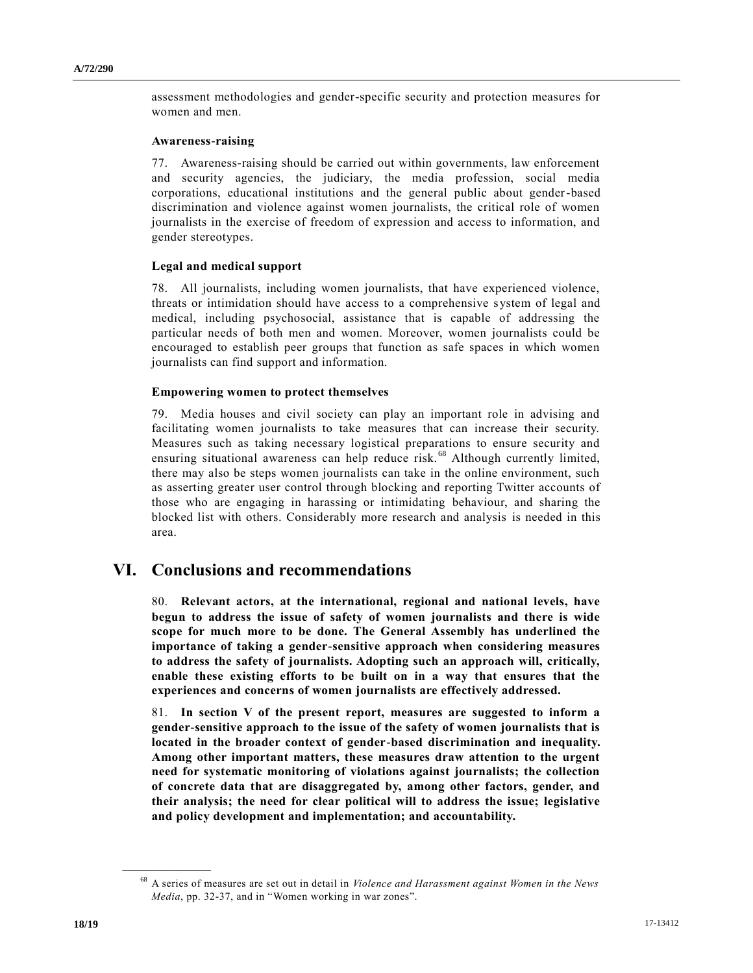assessment methodologies and gender-specific security and protection measures for women and men.

#### **Awareness-raising**

77. Awareness-raising should be carried out within governments, law enforcement and security agencies, the judiciary, the media profession, social media corporations, educational institutions and the general public about gender-based discrimination and violence against women journalists, the critical role of women journalists in the exercise of freedom of expression and access to information, and gender stereotypes.

#### **Legal and medical support**

78. All journalists, including women journalists, that have experienced violence, threats or intimidation should have access to a comprehensive system of legal and medical, including psychosocial, assistance that is capable of addressing the particular needs of both men and women. Moreover, women journalists could be encouraged to establish peer groups that function as safe spaces in which women journalists can find support and information.

#### **Empowering women to protect themselves**

79. Media houses and civil society can play an important role in advising and facilitating women journalists to take measures that can increase their security. Measures such as taking necessary logistical preparations to ensure security and ensuring situational awareness can help reduce risk.<sup>68</sup> Although currently limited, there may also be steps women journalists can take in the online environment, such as asserting greater user control through blocking and reporting Twitter accounts of those who are engaging in harassing or intimidating behaviour, and sharing the blocked list with others. Considerably more research and analysis is needed in this area.

### **VI. Conclusions and recommendations**

80. **Relevant actors, at the international, regional and national levels, have begun to address the issue of safety of women journalists and there is wide scope for much more to be done. The General Assembly has underlined the importance of taking a gender-sensitive approach when considering measures to address the safety of journalists. Adopting such an approach will, critically, enable these existing efforts to be built on in a way that ensures that the experiences and concerns of women journalists are effectively addressed.**

81. **In section V of the present report, measures are suggested to inform a gender-sensitive approach to the issue of the safety of women journalists that is located in the broader context of gender-based discrimination and inequality. Among other important matters, these measures draw attention to the urgent need for systematic monitoring of violations against journalists; the collection of concrete data that are disaggregated by, among other factors, gender, and their analysis; the need for clear political will to address the issue; legislative and policy development and implementation; and accountability.**

<sup>68</sup> A series of measures are set out in detail in *Violence and Harassment against Women in the News Media*, pp. 32-37, and in "Women working in war zones".